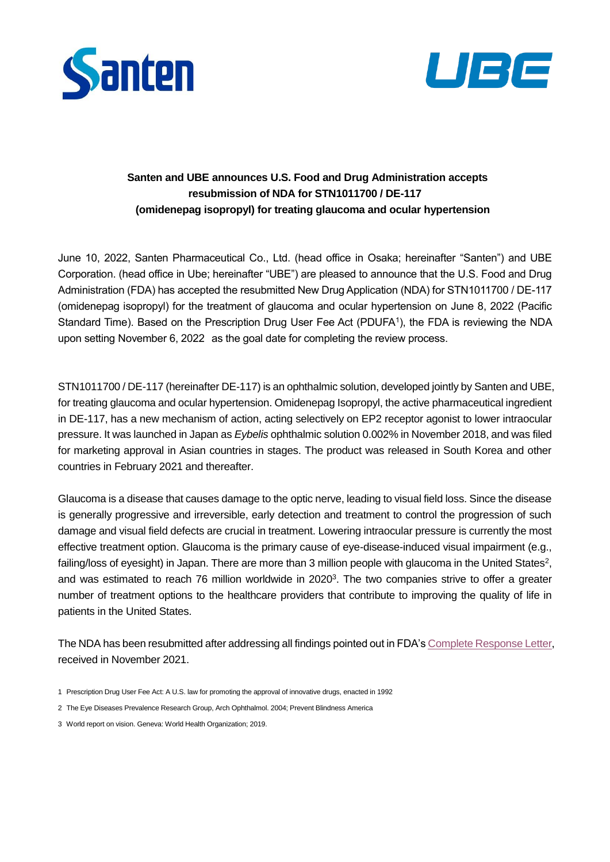



## **Santen and UBE announces U.S. Food and Drug Administration accepts resubmission of NDA for STN1011700 / DE-117 (omidenepag isopropyl) for treating glaucoma and ocular hypertension**

June 10, 2022, Santen Pharmaceutical Co., Ltd. (head office in Osaka; hereinafter "Santen") and UBE Corporation. (head office in Ube; hereinafter "UBE") are pleased to announce that the U.S. Food and Drug Administration (FDA) has accepted the resubmitted New Drug Application (NDA) for STN1011700 / DE-117 (omidenepag isopropyl) for the treatment of glaucoma and ocular hypertension on June 8, 2022 (Pacific Standard Time). Based on the Prescription Drug User Fee Act (PDUFA<sup>1</sup>), the FDA is reviewing the NDA upon setting November 6, 2022 as the goal date for completing the review process.

STN1011700 / DE-117 (hereinafter DE-117) is an ophthalmic solution, developed jointly by Santen and UBE, for treating glaucoma and ocular hypertension. Omidenepag Isopropyl, the active pharmaceutical ingredient in DE-117, has a new mechanism of action, acting selectively on EP2 receptor agonist to lower intraocular pressure. It was launched in Japan as *Eybelis* ophthalmic solution 0.002% in November 2018, and was filed for marketing approval in Asian countries in stages. The product was released in South Korea and other countries in February 2021 and thereafter.

Glaucoma is a disease that causes damage to the optic nerve, leading to visual field loss. Since the disease is generally progressive and irreversible, early detection and treatment to control the progression of such damage and visual field defects are crucial in treatment. Lowering intraocular pressure is currently the most effective treatment option. Glaucoma is the primary cause of eye-disease-induced visual impairment (e.g., failing/loss of eyesight) in Japan. There are more than 3 million people with glaucoma in the United States<sup>2</sup>, and was estimated to reach 76 million worldwide in 2020<sup>3</sup>. The two companies strive to offer a greater number of treatment options to the healthcare providers that contribute to improving the quality of life in patients in the United States.

The NDA has been resubmitted after addressing all findings pointed out in FDA's [Complete Response Letter,](https://www.santen.com/en/news/20211118.pdf) received in November 2021.

- 1 Prescription Drug User Fee Act: A U.S. law for promoting the approval of innovative drugs, enacted in 1992
- 2 The Eye Diseases Prevalence Research Group, Arch Ophthalmol. 2004; Prevent Blindness America
- 3 World report on vision. Geneva: World Health Organization; 2019.